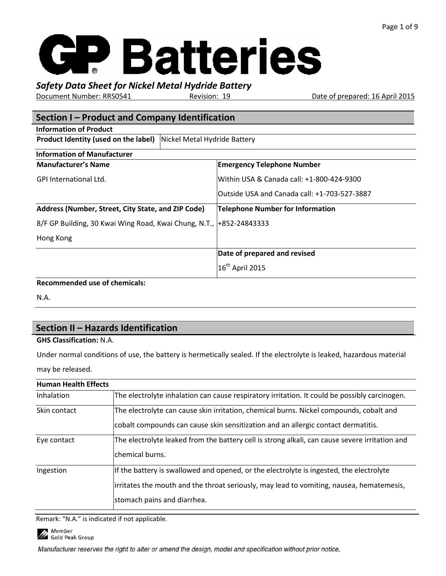## *Safety Data Sheet for Nickel Metal Hydride Battery*

Document Number: RRS0541 Revision: 19 Date of prepared: 16 April 2015

| Section I – Product and Company Identification                       |                                              |  |
|----------------------------------------------------------------------|----------------------------------------------|--|
| <b>Information of Product</b>                                        |                                              |  |
| Product Identity (used on the label)                                 | Nickel Metal Hydride Battery                 |  |
| <b>Information of Manufacturer</b>                                   |                                              |  |
| <b>Manufacturer's Name</b>                                           | <b>Emergency Telephone Number</b>            |  |
| <b>GPI International Ltd.</b>                                        | Within USA & Canada call: +1-800-424-9300    |  |
|                                                                      | Outside USA and Canada call: +1-703-527-3887 |  |
| Address (Number, Street, City State, and ZIP Code)                   | <b>Telephone Number for Information</b>      |  |
| 8/F GP Building, 30 Kwai Wing Road, Kwai Chung, N.T.,  +852-24843333 |                                              |  |
| Hong Kong                                                            |                                              |  |
|                                                                      | Date of prepared and revised                 |  |
| $\sim$ $\sim$ $\sim$ $\sim$                                          | $16th$ April 2015                            |  |

#### **Recommended use of chemicals:**

N.A.

## **Section II – Hazards Identification**

#### **GHS Classification:** N.A.

Under normal conditions of use, the battery is hermetically sealed. If the electrolyte is leaked, hazardous material may be released.

| <b>Human Health Effects</b> |                                                                                                                                                                                                                    |
|-----------------------------|--------------------------------------------------------------------------------------------------------------------------------------------------------------------------------------------------------------------|
| Inhalation                  | The electrolyte inhalation can cause respiratory irritation. It could be possibly carcinogen.                                                                                                                      |
| Skin contact                | The electrolyte can cause skin irritation, chemical burns. Nickel compounds, cobalt and<br>cobalt compounds can cause skin sensitization and an allergic contact dermatitis.                                       |
| Eye contact                 | The electrolyte leaked from the battery cell is strong alkali, can cause severe irritation and<br>lchemical burns.                                                                                                 |
| Ingestion                   | If the battery is swallowed and opened, or the electrolyte is ingested, the electrolyte<br>irritates the mouth and the throat seriously, may lead to vomiting, nausea, hematemesis,<br>stomach pains and diarrhea. |

Remark: "N.A." is indicated if not applicable.

Member **COLORED MEMBER**<br>Gold Peak Group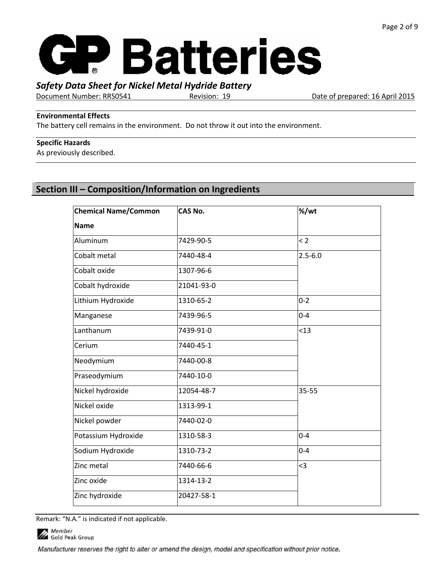

Document Number: RRS0541 Revision: 19 Date of prepared: 16 April 2015

#### **Environmental Effects**

The battery cell remains in the environment. Do not throw it out into the environment.

#### **Specific Hazards**

As previously described.

## **Section III – Composition/Information on Ingredients**

| <b>Chemical Name/Common</b> | <b>CAS No.</b> | %/wt        |
|-----------------------------|----------------|-------------|
| <b>Name</b>                 |                |             |
| Aluminum                    | 7429-90-5      | $\leq$ 2    |
| Cobalt metal                | 7440-48-4      | $2.5 - 6.0$ |
| Cobalt oxide                | 1307-96-6      |             |
| Cobalt hydroxide            | 21041-93-0     |             |
| Lithium Hydroxide           | 1310-65-2      | $0 - 2$     |
| Manganese                   | 7439-96-5      | $0 - 4$     |
| Lanthanum                   | 7439-91-0      | < 13        |
| Cerium                      | 7440-45-1      |             |
| Neodymium                   | 7440-00-8      |             |
| Praseodymium                | 7440-10-0      |             |
| Nickel hydroxide            | 12054-48-7     | 35-55       |
| Nickel oxide                | 1313-99-1      |             |
| Nickel powder               | 7440-02-0      |             |
| Potassium Hydroxide         | 1310-58-3      | $0 - 4$     |
| Sodium Hydroxide            | 1310-73-2      | $0 - 4$     |
| Zinc metal                  | 7440-66-6      | $\leq$ 3    |
| Zinc oxide                  | 1314-13-2      |             |
| Zinc hydroxide              | 20427-58-1     |             |

Remark: "N.A." is indicated if not applicable.

Member **COLORED MEMBER**<br>Gold Peak Group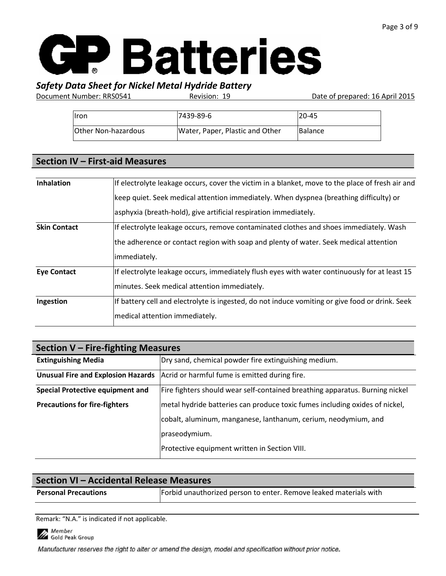## *Safety Data Sheet for Nickel Metal Hydride Battery*

Document Number: RRS0541 Revision: 19 Date of prepared: 16 April 2015

| <b>Ilron</b>        | 7439-89-6                       | $120 - 45$     |
|---------------------|---------------------------------|----------------|
| Other Non-hazardous | Water, Paper, Plastic and Other | <b>Balance</b> |

### **Section IV – First-aid Measures**

| <b>Inhalation</b>   | If electrolyte leakage occurs, cover the victim in a blanket, move to the place of fresh air and |
|---------------------|--------------------------------------------------------------------------------------------------|
|                     | keep quiet. Seek medical attention immediately. When dyspnea (breathing difficulty) or           |
|                     | asphyxia (breath-hold), give artificial respiration immediately.                                 |
| <b>Skin Contact</b> | If electrolyte leakage occurs, remove contaminated clothes and shoes immediately. Wash           |
|                     | the adherence or contact region with soap and plenty of water. Seek medical attention            |
|                     | immediately.                                                                                     |
| <b>Eye Contact</b>  | If electrolyte leakage occurs, immediately flush eyes with water continuously for at least 15    |
|                     | minutes. Seek medical attention immediately.                                                     |
| Ingestion           | If battery cell and electrolyte is ingested, do not induce vomiting or give food or drink. Seek  |
|                     | medical attention immediately.                                                                   |

| Section V - Fire-fighting Measures        |                                                                              |  |
|-------------------------------------------|------------------------------------------------------------------------------|--|
| <b>Extinguishing Media</b>                | Dry sand, chemical powder fire extinguishing medium.                         |  |
| <b>Unusual Fire and Explosion Hazards</b> | Acrid or harmful fume is emitted during fire.                                |  |
| <b>Special Protective equipment and</b>   | Fire fighters should wear self-contained breathing apparatus. Burning nickel |  |
| <b>Precautions for fire-fighters</b>      | metal hydride batteries can produce toxic fumes including oxides of nickel,  |  |
|                                           | cobalt, aluminum, manganese, lanthanum, cerium, neodymium, and               |  |
|                                           | praseodymium.                                                                |  |
|                                           | Protective equipment written in Section VIII.                                |  |

|                                                                                                  | Section VI - Accidental Release Measures |  |
|--------------------------------------------------------------------------------------------------|------------------------------------------|--|
| Forbid unauthorized person to enter. Remove leaked materials with<br><b>Personal Precautions</b> |                                          |  |

Remark: "N.A." is indicated if not applicable.

Member<br>17 Gold Peak Group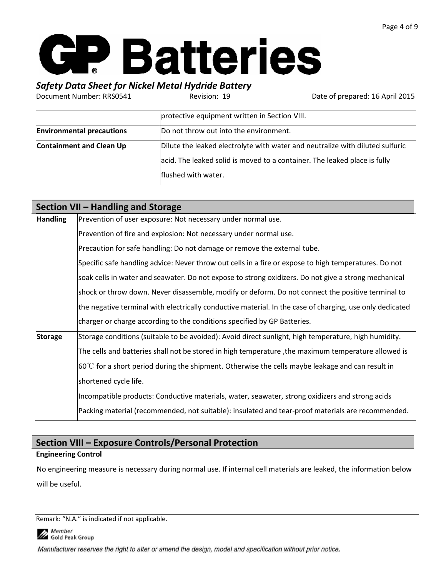## *Safety Data Sheet for Nickel Metal Hydride Battery*

Document Number: RRS0541 Revision: 19 Date of prepared: 16 April 2015

|                                  | protective equipment written in Section VIII.                                                                                                                                     |
|----------------------------------|-----------------------------------------------------------------------------------------------------------------------------------------------------------------------------------|
| <b>Environmental precautions</b> | Do not throw out into the environment.                                                                                                                                            |
| <b>Containment and Clean Up</b>  | Dilute the leaked electrolyte with water and neutralize with diluted sulfuric<br>acid. The leaked solid is moved to a container. The leaked place is fully<br>flushed with water. |

|                 | Section VII – Handling and Storage                                                                          |
|-----------------|-------------------------------------------------------------------------------------------------------------|
| <b>Handling</b> | Prevention of user exposure: Not necessary under normal use.                                                |
|                 | Prevention of fire and explosion: Not necessary under normal use.                                           |
|                 | Precaution for safe handling: Do not damage or remove the external tube.                                    |
|                 | Specific safe handling advice: Never throw out cells in a fire or expose to high temperatures. Do not       |
|                 | soak cells in water and seawater. Do not expose to strong oxidizers. Do not give a strong mechanical        |
|                 | shock or throw down. Never disassemble, modify or deform. Do not connect the positive terminal to           |
|                 | the negative terminal with electrically conductive material. In the case of charging, use only dedicated    |
|                 | charger or charge according to the conditions specified by GP Batteries.                                    |
| <b>Storage</b>  | Storage conditions (suitable to be avoided): Avoid direct sunlight, high temperature, high humidity.        |
|                 | The cells and batteries shall not be stored in high temperature, the maximum temperature allowed is         |
|                 | $ 60^{\circ}$ C for a short period during the shipment. Otherwise the cells maybe leakage and can result in |
|                 | shortened cycle life.                                                                                       |
|                 | Incompatible products: Conductive materials, water, seawater, strong oxidizers and strong acids             |
|                 | Packing material (recommended, not suitable): insulated and tear-proof materials are recommended.           |

## **Section VIII – Exposure Controls/Personal Protection**

#### **Engineering Control**

No engineering measure is necessary during normal use. If internal cell materials are leaked, the information below will be useful.

Remark: "N.A." is indicated if not applicable.

Member **COLORED MEMBER**<br>Gold Peak Group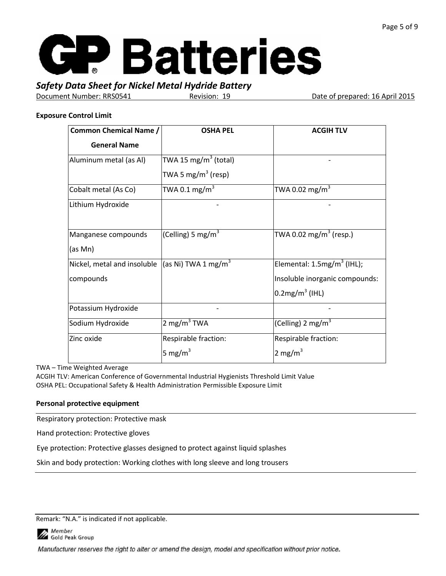

Document Number: RRS0541 Revision: 19 Date of prepared: 16 April 2015

#### **Exposure Control Limit**

| <b>Common Chemical Name /</b>                                   | <b>OSHA PEL</b>                  | <b>ACGIH TLV</b>               |
|-----------------------------------------------------------------|----------------------------------|--------------------------------|
| <b>General Name</b>                                             |                                  |                                |
| Aluminum metal (as Al)                                          | TWA 15 mg/m <sup>3</sup> (total) |                                |
|                                                                 | TWA 5 mg/m $3$ (resp)            |                                |
| Cobalt metal (As Co)                                            | TWA 0.1 mg/m $^3$                | TWA 0.02 mg/m $^3$             |
| Lithium Hydroxide                                               |                                  |                                |
| Manganese compounds                                             | (Celling) 5 mg/m <sup>3</sup>    | TWA 0.02 mg/m $^3$ (resp.)     |
| (as Mn)                                                         |                                  |                                |
| Nickel, metal and insoluble $ ($ as Ni) TWA 1 mg/m <sup>3</sup> |                                  | Elemental: $1.5mg/m3$ (IHL);   |
| compounds                                                       |                                  | Insoluble inorganic compounds: |
|                                                                 |                                  | $0.2$ mg/m <sup>3</sup> (IHL)  |
| Potassium Hydroxide                                             |                                  |                                |
| Sodium Hydroxide                                                | 2 mg/m <sup>3</sup> TWA          | (Celling) 2 mg/m <sup>3</sup>  |
| Zinc oxide                                                      | Respirable fraction:             | Respirable fraction:           |
|                                                                 | 5 mg/m <sup>3</sup>              | 2 mg/m <sup>3</sup>            |

TWA – Time Weighted Average

ACGIH TLV: American Conference of Governmental Industrial Hygienists Threshold Limit Value OSHA PEL: Occupational Safety & Health Administration Permissible Exposure Limit

#### **Personal protective equipment**

Respiratory protection: Protective mask

Hand protection: Protective gloves

Eye protection: Protective glasses designed to protect against liquid splashes

Skin and body protection: Working clothes with long sleeve and long trousers

Remark: "N.A." is indicated if not applicable.

Member Gold Peak Group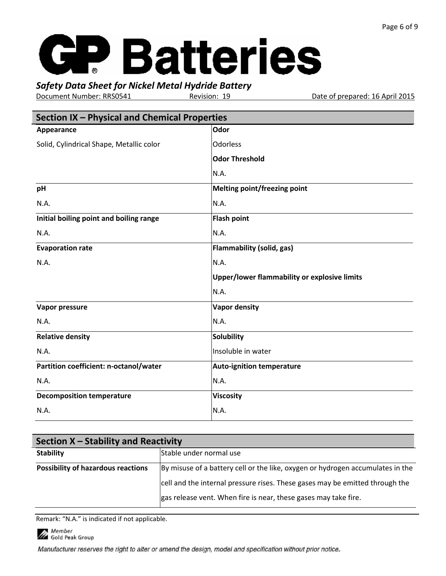*Safety Data Sheet for Nickel Metal Hydride Battery*

Revision: 19 **Date of prepared: 16 April 2015** 

| Section IX - Physical and Chemical Properties |                                              |  |
|-----------------------------------------------|----------------------------------------------|--|
| Appearance                                    | Odor                                         |  |
| Solid, Cylindrical Shape, Metallic color      | <b>Odorless</b>                              |  |
|                                               | <b>Odor Threshold</b>                        |  |
|                                               | N.A.                                         |  |
| pH                                            | <b>Melting point/freezing point</b>          |  |
| N.A.                                          | N.A.                                         |  |
| Initial boiling point and boiling range       | <b>Flash point</b>                           |  |
| N.A.                                          | N.A.                                         |  |
| <b>Evaporation rate</b>                       | <b>Flammability (solid, gas)</b>             |  |
| N.A.                                          | N.A.                                         |  |
|                                               | Upper/lower flammability or explosive limits |  |
|                                               | N.A.                                         |  |
| Vapor pressure                                | <b>Vapor density</b>                         |  |
| N.A.                                          | N.A.                                         |  |
| <b>Relative density</b>                       | <b>Solubility</b>                            |  |
| N.A.                                          | Insoluble in water                           |  |
| Partition coefficient: n-octanol/water        | <b>Auto-ignition temperature</b>             |  |
| N.A.                                          | N.A.                                         |  |
| <b>Decomposition temperature</b>              | <b>Viscosity</b>                             |  |
| N.A.                                          | N.A.                                         |  |

| Section X – Stability and Reactivity      |                                                                                |  |
|-------------------------------------------|--------------------------------------------------------------------------------|--|
| <b>Stability</b>                          | Stable under normal use                                                        |  |
| <b>Possibility of hazardous reactions</b> | By misuse of a battery cell or the like, oxygen or hydrogen accumulates in the |  |
|                                           | cell and the internal pressure rises. These gases may be emitted through the   |  |
|                                           | gas release vent. When fire is near, these gases may take fire.                |  |

Remark: "N.A." is indicated if not applicable.

Member<br>17 Gold Peak Group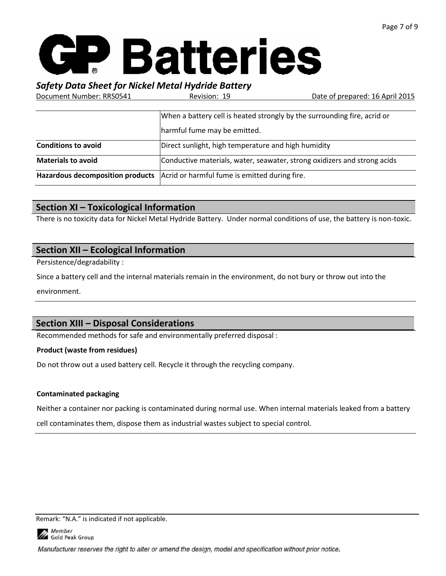## *Safety Data Sheet for Nickel Metal Hydride Battery*

Document Number: RRS0541 Revision: 19 Date of prepared: 16 April 2015

|                            | When a battery cell is heated strongly by the surrounding fire, acrid or       |  |  |  |
|----------------------------|--------------------------------------------------------------------------------|--|--|--|
|                            | harmful fume may be emitted.                                                   |  |  |  |
| <b>Conditions to avoid</b> | Direct sunlight, high temperature and high humidity                            |  |  |  |
| <b>Materials to avoid</b>  | Conductive materials, water, seawater, strong oxidizers and strong acids       |  |  |  |
|                            | Hazardous decomposition products Acrid or harmful fume is emitted during fire. |  |  |  |

## **Section XI – Toxicological Information**

There is no toxicity data for Nickel Metal Hydride Battery. Under normal conditions of use, the battery is non-toxic.

## **Section XII – Ecological Information**

Persistence/degradability :

Since a battery cell and the internal materials remain in the environment, do not bury or throw out into the environment.

## **Section XIII – Disposal Considerations**

Recommended methods for safe and environmentally preferred disposal :

#### **Product (waste from residues)**

Do not throw out a used battery cell. Recycle it through the recycling company.

#### **Contaminated packaging**

Neither a container nor packing is contaminated during normal use. When internal materials leaked from a battery

cell contaminates them, dispose them as industrial wastes subject to special control.

Remark: "N.A." is indicated if not applicable.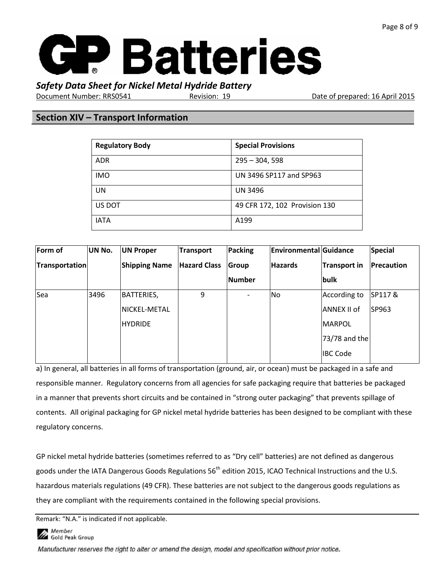

Document Number: RRS0541 Revision: 19 Date of prepared: 16 April 2015

### **Section XIV – Transport Information**

| <b>Regulatory Body</b> | <b>Special Provisions</b>     |
|------------------------|-------------------------------|
| <b>ADR</b>             | $295 - 304, 598$              |
| <b>IMO</b>             | UN 3496 SP117 and SP963       |
| UN                     | <b>UN 3496</b>                |
| US DOT                 | 49 CFR 172, 102 Provision 130 |
| <b>IATA</b>            | A199                          |

| Form of        | UN No. | <b>UN Proper</b>     | Transport           | <b>Packing</b>           | <b>Environmental Guidance</b> |                     | Special      |
|----------------|--------|----------------------|---------------------|--------------------------|-------------------------------|---------------------|--------------|
| Transportation |        | <b>Shipping Name</b> | <b>Hazard Class</b> | <b>Group</b>             | <b>Hazards</b>                | <b>Transport in</b> | Precaution   |
|                |        |                      |                     | Number                   |                               | bulk                |              |
| Sea            | 3496   | <b>BATTERIES,</b>    | 9                   | $\overline{\phantom{a}}$ | N <sub>0</sub>                | According to        | SP117&       |
|                |        | NICKEL-METAL         |                     |                          |                               | ANNEX II of         | <b>SP963</b> |
|                |        | <b>HYDRIDE</b>       |                     |                          |                               | MARPOL              |              |
|                |        |                      |                     |                          |                               | $73/78$ and the     |              |
|                |        |                      |                     |                          |                               | <b>IBC Code</b>     |              |

a) In general, all batteries in all forms of transportation (ground, air, or ocean) must be packaged in a safe and responsible manner. Regulatory concerns from all agencies for safe packaging require that batteries be packaged in a manner that prevents short circuits and be contained in "strong outer packaging" that prevents spillage of contents. All original packaging for GP nickel metal hydride batteries has been designed to be compliant with these regulatory concerns.

GP nickel metal hydride batteries (sometimes referred to as "Dry cell" batteries) are not defined as dangerous goods under the IATA Dangerous Goods Regulations 56<sup>th</sup> edition 2015, ICAO Technical Instructions and the U.S. hazardous materials regulations (49 CFR). These batteries are not subject to the dangerous goods regulations as they are compliant with the requirements contained in the following special provisions.

Remark: "N.A." is indicated if not applicable.



Gold Peak Group